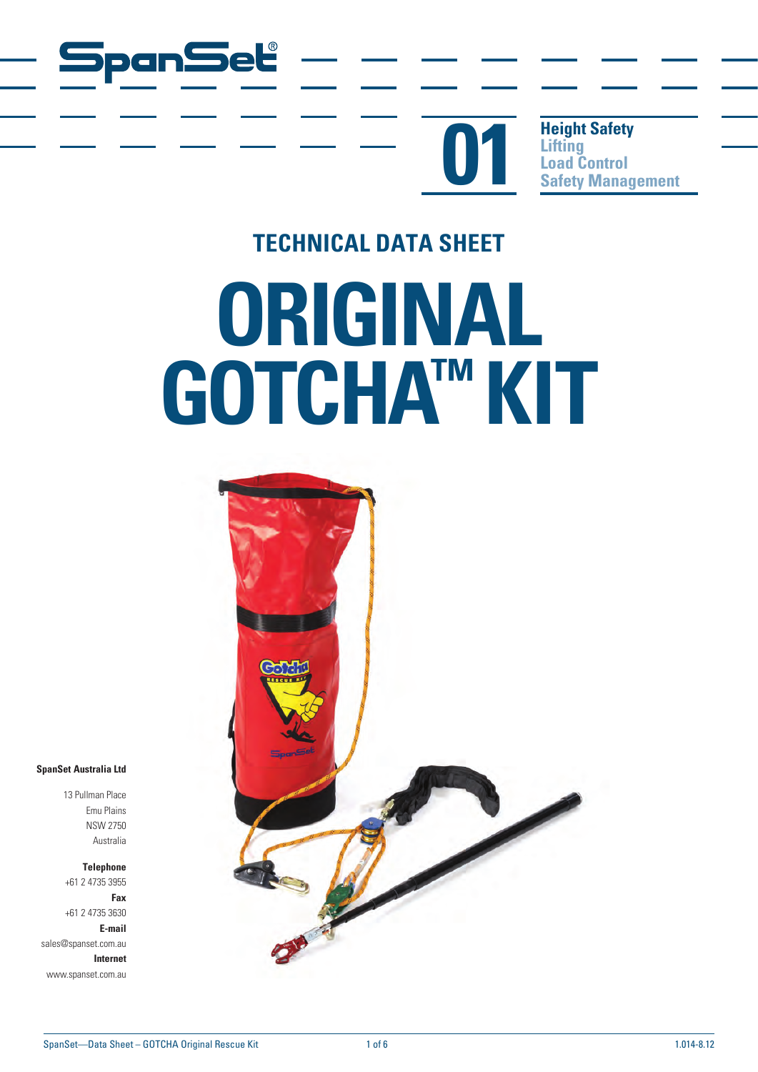

**Height Safety Lifting**<br> **Load Control Comparison Control**<br> **Coad Control**<br> **Safety Management** 

# **TECHNICAL DATA SHEET ORIGINAL GOTCHA™ KIT**

panSel®



**SpanSet Australia Ltd**

13 Pullman Place Emu Plains NSW 2750 Australia

**Telephone** +61 2 4735 3955

**Fax** +61 2 4735 3630 **E-mail** sales@spanset.com.au

**Internet** www.spanset.com.au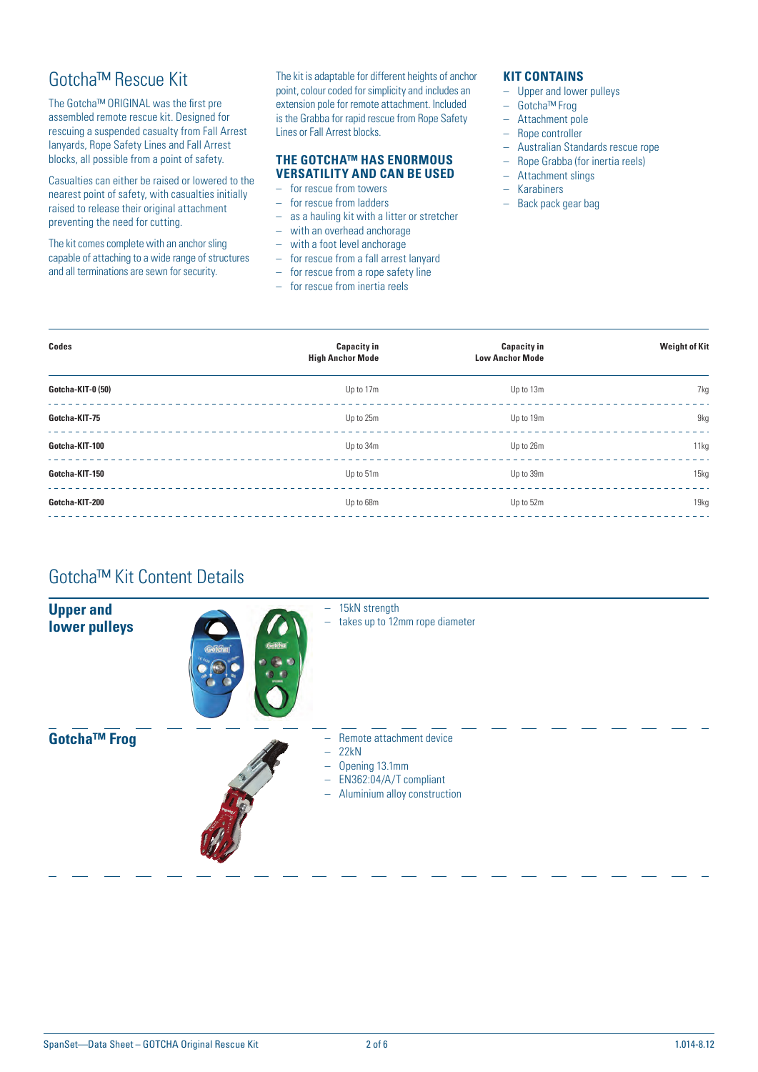## Gotcha™ Rescue Kit

The Gotcha™ ORIGINAL was the first pre assembled remote rescue kit. Designed for rescuing a suspended casualty from Fall Arrest lanyards, Rope Safety Lines and Fall Arrest blocks, all possible from a point of safety.

Casualties can either be raised or lowered to the nearest point of safety, with casualties initially raised to release their original attachment preventing the need for cutting.

The kit comes complete with an anchor sling capable of attaching to a wide range of structures and all terminations are sewn for security.

The kit is adaptable for different heights of anchor point, colour coded for simplicity and includes an extension pole for remote attachment. Included is the Grabba for rapid rescue from Rope Safety Lines or Fall Arrest blocks.

#### **THE GOTCHA™ HAS ENORMOUS VERSATILITY AND CAN BE USED**

- for rescue from towers
- for rescue from ladders
- as a hauling kit with a litter or stretcher
- with an overhead anchorage
- with a foot level anchorage
- for rescue from a fall arrest lanyard
- for rescue from a rope safety line
- for rescue from inertia reels

#### **KIT CONTAINS**

- Upper and lower pulleys
- Gotcha™ Frog
- Attachment pole
- Rope controller
- Australian Standards rescue rope
- Rope Grabba (for inertia reels)
- Attachment slings
- Karabiners
- Back pack gear bag

| Codes             | <b>Capacity in</b>      | <b>Capacity in</b>     | <b>Weight of Kit</b> |  |
|-------------------|-------------------------|------------------------|----------------------|--|
|                   | <b>High Anchor Mode</b> | <b>Low Anchor Mode</b> |                      |  |
| Gotcha-KIT-0 (50) | Up to 17m               | Up to 13m              | 7kg                  |  |
| Gotcha-KIT-75     | Up to 25m               | Up to 19m              | 9kg                  |  |
| Gotcha-KIT-100    | Up to 34m               | Up to 26m              | 11kg                 |  |
| Gotcha-KIT-150    | Up to 51m               | Up to 39m              | 15kg                 |  |
| Gotcha-KIT-200    | Up to 68m               | Up to 52m              | 19kg                 |  |
|                   |                         |                        |                      |  |

# Gotcha™ Kit Content Details

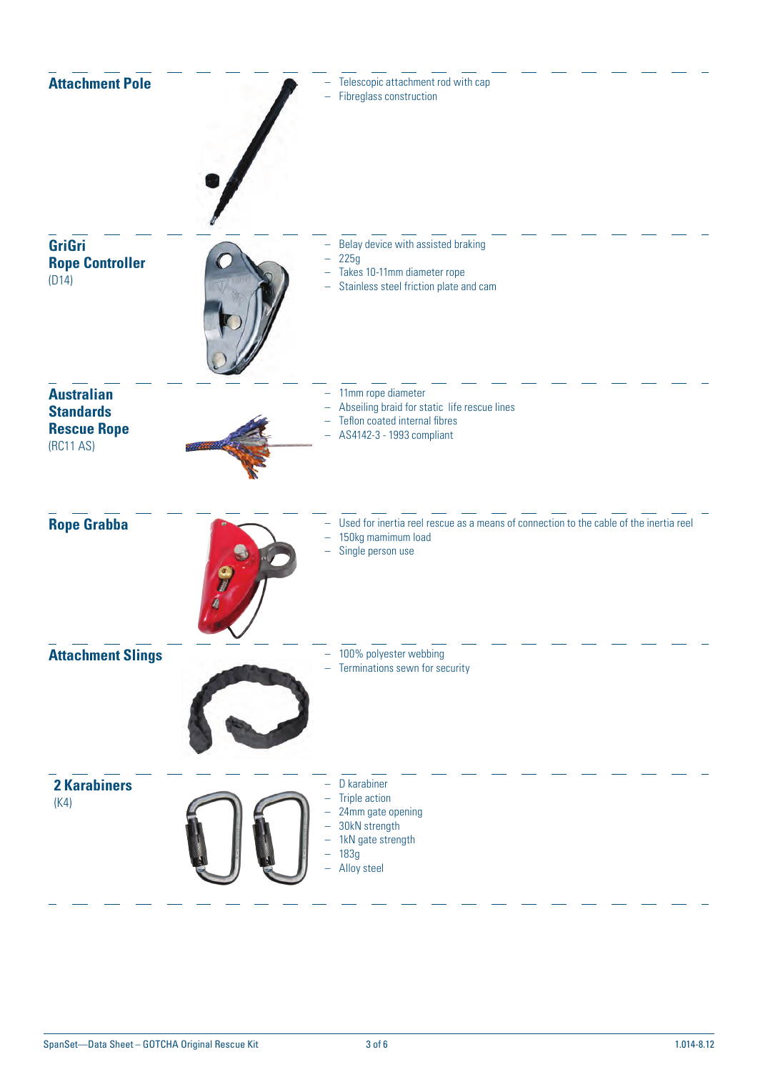| <b>Attachment Pole</b>                                                   | Telescopic attachment rod with cap<br><b>Fibreglass construction</b>                                                              |
|--------------------------------------------------------------------------|-----------------------------------------------------------------------------------------------------------------------------------|
| <b>GriGri</b><br><b>Rope Controller</b><br>(D14)                         | Belay device with assisted braking<br>225g<br>Takes 10-11mm diameter rope<br>Stainless steel friction plate and cam<br>-          |
| <b>Australian</b><br><b>Standards</b><br><b>Rescue Rope</b><br>(RC11 AS) | 11mm rope diameter<br>Abseiling braid for static life rescue lines<br>Teflon coated internal fibres<br>AS4142-3 - 1993 compliant  |
| <b>Rope Grabba</b>                                                       | Used for inertia reel rescue as a means of connection to the cable of the inertia reel<br>150kg mamimum load<br>Single person use |
| <b>Attachment Slings</b>                                                 | 100% polyester webbing<br>Terminations sewn for security                                                                          |
| <b>2 Karabiners</b><br>(K4)                                              | D karabiner<br><b>Triple action</b><br>24mm gate opening<br>30kN strength<br>1kN gate strength<br>183g<br>Alloy steel             |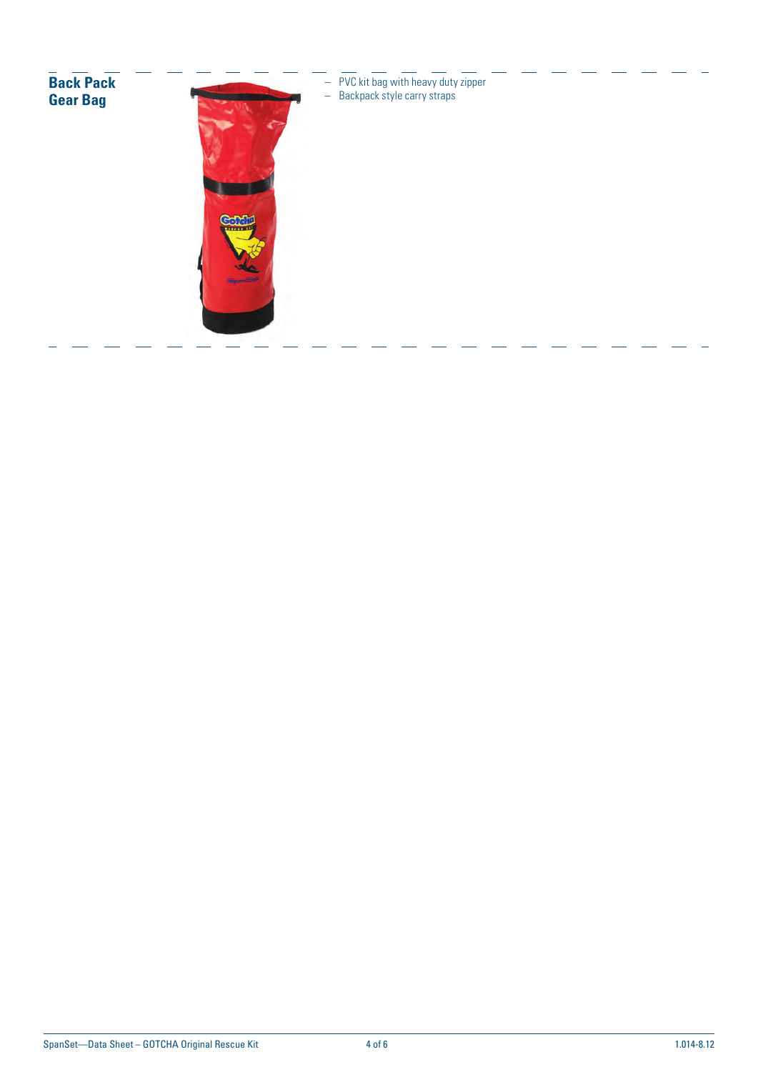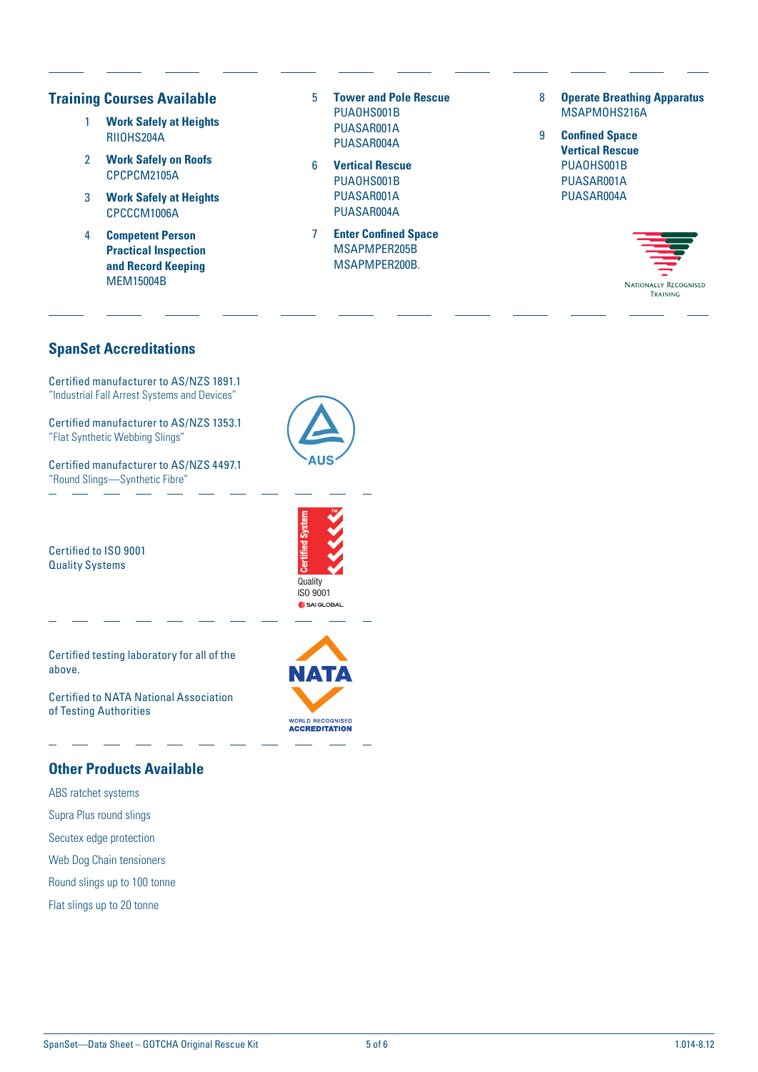### **Training Courses Available**

- 1 **Work Safely at Heights** RIIOHS204A
- 2 **Work Safely on Roofs** CPCPCM2105A
- 3 **Work Safely at Heights** CPCCCM1006A
- 4 **Competent Person Practical Inspection and Record Keeping** MEM15004B
- 5 **Tower and Pole Rescue** PUAOHS001B PUASAR001A PUASAR004A
- 6 **Vertical Rescue** PUAOHS001B PUASAR001A PUASAR004A
- 7 **Enter Confined Space** MSAPMPER205B MSAPMPER200B.
- 8 **Operate Breathing Apparatus** MSAPMOHS216A
- 9 **Confined Space Vertical Rescue** PUAOHS001B PUASAR001A PUASAR004A



## **SpanSet Accreditations**

Certified manufacturer to AS/NZS 1891.1 "Industrial Fall Arrest Systems and Devices"

Certified manufacturer to AS/NZS 1353.1 "Flat Synthetic Webbing Slings"

Certified manufacturer to AS/NZS 4497.1 "Round Slings—Synthetic Fibre"



Certified to ISO 9001 Quality Systems

**Quality** ISO 9001

Certified testing laboratory for all of the above.

Certified to NATA National Association of Testing Authorities

## **Other Products Available**

- ABS ratchet systems Supra Plus round slings
- Secutex edge protection
- Web Dog Chain tensioners
- Round slings up to 100 tonne
- Flat slings up to 20 tonne